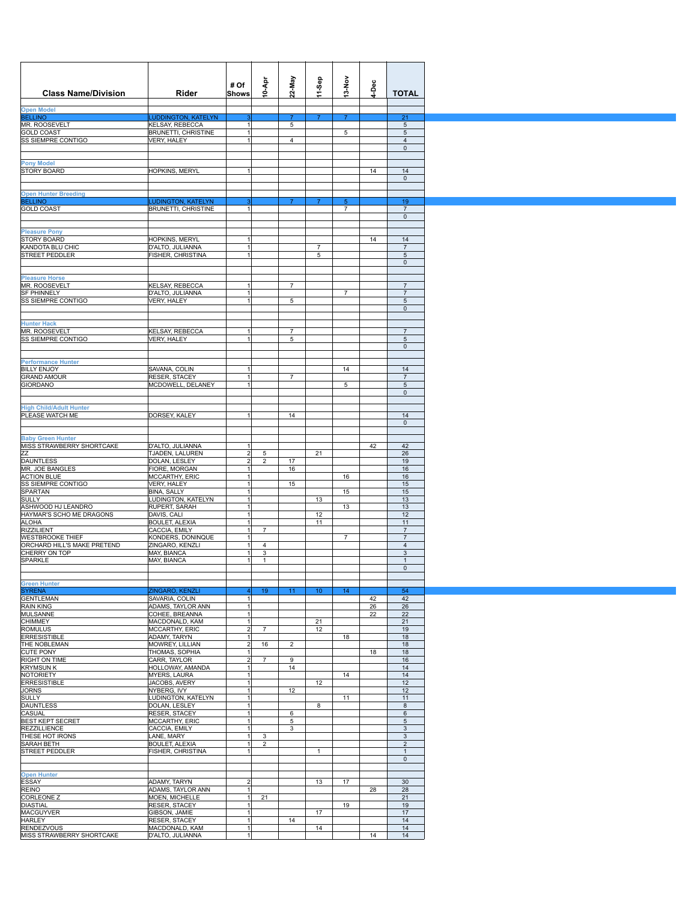| <b>Class Name/Division</b>                        | Rider                                         | # Of<br>Shows                    | 10-Apr              | 22-May              | 11-Sep              | $13-NOV$        | ĕ  | <b>TOTAL</b>                   |
|---------------------------------------------------|-----------------------------------------------|----------------------------------|---------------------|---------------------|---------------------|-----------------|----|--------------------------------|
| <b>Open Model</b>                                 |                                               |                                  |                     |                     |                     |                 |    |                                |
| <b>BELLINO</b><br>MR. ROOSEVELT                   | <b>LUDDINGTON, KATELYN</b><br>KELSAY, REBECCA |                                  |                     | $\overline{7}$<br>5 | 7                   | $\overline{7}$  |    | 21<br>5                        |
| <b>GOLD COAST</b>                                 | BRUNETTI, CHRISTINE                           | $\vert$                          |                     |                     |                     | 5               |    | 5                              |
| SS SIEMPRE CONTIGO                                | VERY, HALEY                                   | 1                                |                     | $\overline{4}$      |                     |                 |    | $\overline{\mathbf{4}}$<br>0   |
|                                                   |                                               |                                  |                     |                     |                     |                 |    |                                |
| <b>Pony Model</b>                                 |                                               |                                  |                     |                     |                     |                 |    |                                |
| STORY BOARD                                       | HOPKINS, MERYL                                |                                  |                     |                     |                     |                 | 14 | 14<br>$\mathbf 0$              |
|                                                   |                                               |                                  |                     |                     |                     |                 |    |                                |
| <b>Open Hunter Breeding</b><br><b>BELLINO</b>     | <b>LUDINGTON, KATELYN</b>                     | з                                |                     | $\overline{7}$      | $\overline{7}$      | $5\phantom{.0}$ |    | 19                             |
| <b>GOLD COAST</b>                                 | BRUNETTI, CHRISTINE                           |                                  |                     |                     |                     | $\overline{7}$  |    | $\overline{7}$                 |
|                                                   |                                               |                                  |                     |                     |                     |                 |    | $\mathsf 0$                    |
| <b>Pleasure Pony</b>                              |                                               |                                  |                     |                     |                     |                 |    |                                |
| <b>STORY BOARD</b>                                | HOPKINS, MERYL                                |                                  |                     |                     |                     |                 | 14 | 14                             |
| KANDOTA BLU CHIC<br>STREET PEDDLER                | D'ALTO, JULIANNA<br>FISHER, CHRISTINA         | $\overline{1}$                   |                     |                     | $\overline{7}$<br>5 |                 |    | $\overline{7}$<br>5            |
|                                                   |                                               |                                  |                     |                     |                     |                 |    | 0                              |
|                                                   |                                               |                                  |                     |                     |                     |                 |    |                                |
| <b>Pleasure Horse</b><br>MR. ROOSEVELT            | KELSAY, REBECCA                               |                                  |                     | $\overline{7}$      |                     |                 |    | $\sqrt{7}$                     |
| <b>SF PHINNELY</b>                                | D'ALTO, JULIANNA                              | $\mathbf{1}$                     |                     |                     |                     | $\overline{7}$  |    | $\overline{7}$                 |
| SS SIEMPRE CONTIGO                                | <b>VERY, HALEY</b>                            |                                  |                     | 5                   |                     |                 |    | 5                              |
|                                                   |                                               |                                  |                     |                     |                     |                 |    | 0                              |
| <b>Hunter Hack</b>                                |                                               |                                  |                     |                     |                     |                 |    |                                |
| MR. ROOSEVELT                                     | KELSAY, REBECCA                               |                                  |                     | $\overline{7}$      |                     |                 |    | $\overline{7}$                 |
| SS SIEMPRE CONTIGO                                | VERY, HALEY                                   |                                  |                     | 5                   |                     |                 |    | 5                              |
|                                                   |                                               |                                  |                     |                     |                     |                 |    | $\mathsf{O}\xspace$            |
| <b>Performance Hunter</b>                         |                                               |                                  |                     |                     |                     |                 |    |                                |
| <b>BILLY ENJOY</b>                                | SAVANA, COLIN                                 |                                  |                     |                     |                     | 14              |    | 14                             |
| <b>GRAND AMOUR</b><br>GIORDANO                    | RESER, STACEY<br>MCDOWELL, DELANEY            | $\mathbf{1}$                     |                     | $\overline{7}$      |                     | 5               |    | $\overline{7}$<br>5            |
|                                                   |                                               |                                  |                     |                     |                     |                 |    | $\mathsf{O}\xspace$            |
|                                                   |                                               |                                  |                     |                     |                     |                 |    |                                |
| <b>High Child/Adult Hunter</b><br>PLEASE WATCH ME | DORSEY, KALEY                                 |                                  |                     | 14                  |                     |                 |    |                                |
|                                                   |                                               |                                  |                     |                     |                     |                 |    | 14<br>$\mathbf{0}$             |
|                                                   |                                               |                                  |                     |                     |                     |                 |    |                                |
| <b>Baby Green Hunter</b>                          |                                               |                                  |                     |                     |                     |                 |    |                                |
| MISS STRAWBERRY SHORTCAKE<br>ZZ                   | D'ALTO, JULIANNA<br>TJADEN, LALUREN           | $\overline{2}$                   | 5                   |                     | 21                  |                 | 42 | 42<br>26                       |
| DAUNTLESS                                         | DOLAN, LESLEY                                 | $\overline{2}$                   | $\overline{c}$      | 17                  |                     |                 |    | 19                             |
| MR. JOE BANGLES                                   | FIORE, MORGAN                                 | $\mathbf{1}$                     |                     | 16                  |                     |                 |    | 16                             |
| <b>ACTION BLUE</b><br>SS SIEMPRE CONTIGO          | MCCARTHY, ERIC<br>VERY, HALEY                 | $\mathbf{1}$<br>1                |                     | 15                  |                     | 16              |    | 16<br>15                       |
| SPARTAN                                           | BINA, SALLY                                   | $\overline{1}$                   |                     |                     |                     | 15              |    | 15                             |
| SULLY                                             | LUDINGTON, KATELYN                            | $\overline{1}$                   |                     |                     | 13                  |                 |    | 13                             |
| ASHWOOD HJ LEANDRO<br>HAYMAR'S SCHO ME DRAGONS    | RUPERT, SARAH                                 | $\overline{1}$<br>$\overline{1}$ |                     |                     | 12                  | 13              |    | 13<br>12                       |
| ALOHA                                             | DAVIS, CALI<br><b>BOULET, ALEXIA</b>          | 1                                |                     |                     | 11                  |                 |    | 11                             |
| RIZZILIENT                                        | CACCIA, EMILY                                 | 1                                | $\overline{7}$      |                     |                     |                 |    | $\overline{7}$                 |
| WESTBROOKE THIEF                                  | KONDERS, DONINQUE                             | -1                               |                     |                     |                     | $\overline{7}$  |    | $\overline{7}$                 |
| ORCHARD HILL'S MAKE PRETEND<br>CHERRY ON TOP      | ZINGARO, KENZLI<br>MAY, BIANCA                | $\overline{1}$                   | $\overline{4}$<br>3 |                     |                     |                 |    | $\overline{4}$<br>$\mathbf{3}$ |
| SPARKLE                                           | MAY, BIANCA                                   | 1                                | $\mathbf{1}$        |                     |                     |                 |    | $\mathbf{1}$                   |
|                                                   |                                               |                                  |                     |                     |                     |                 |    | 0                              |
| <b>Green Hunter</b>                               |                                               |                                  |                     |                     |                     |                 |    |                                |
| <b>SYRENA</b>                                     | ZINGARO, KENZLI                               |                                  | 19                  | 11                  | 10 <sub>1</sub>     | 14 <sub>1</sub> |    | 54                             |
| GENTLEMAN                                         | SAVARIA, COLIN                                | $\mathbf{1}$                     |                     |                     |                     |                 | 42 | 42                             |
| RAIN KING                                         | ADAMS, TAYLOR ANN                             |                                  |                     |                     |                     |                 | 26 | 26                             |
| MULSANNE<br><b>CHIMMEY</b>                        | COHEE, BREANNA<br>MACDONALD, KAM              | $\mathbf{1}$                     |                     |                     | 21                  |                 | 22 | 22<br>21                       |
| <b>ROMULUS</b>                                    | MCCARTHY, ERIC                                | $\overline{2}$                   | $\overline{7}$      |                     | 12                  |                 |    | 19                             |
| <b>ERRESISTIBLE</b>                               | ADAMY, TARYN                                  |                                  |                     |                     |                     | 18              |    | 18                             |
| THE NOBLEMAN<br><b>CUTE PONY</b>                  | MOWREY, LILLIAN<br>THOMAS, SOPHIA             | $\overline{2}$<br>1              | 16                  | $\overline{2}$      |                     |                 | 18 | 18<br>18                       |
| RIGHT ON TIME                                     | CARR, TAYLOR                                  | $\overline{2}$                   | $\overline{7}$      | 9                   |                     |                 |    | 16                             |
| <b>KRYMSUN K</b>                                  | HOLLOWAY, AMANDA                              | $\mathbf{1}$                     |                     | 14                  |                     |                 |    | 14                             |
| NOTORIETY<br><b>ERRESISTIBLE</b>                  | <b>MYERS, LAURA</b><br>JACOBS, AVERY          | $\mathbf{1}$<br>1                |                     |                     | 12                  | 14              |    | 14<br>12                       |
| JORNS                                             | NYBERG, IVY                                   |                                  |                     | 12                  |                     |                 |    | 12                             |
| SULLY                                             | LUDINGTON, KATELYN                            | $\overline{1}$                   |                     |                     |                     | 11              |    | 11                             |
| DAUNTLESS                                         | DOLAN, LESLEY                                 | 1<br>$\overline{1}$              |                     |                     | 8                   |                 |    | 8                              |
| CASUAL<br>BEST KEPT SECRET                        | RESER, STACEY<br><b>MCCARTHY, ERIC</b>        | 1                                |                     | 6<br>5              |                     |                 |    | 6<br>5                         |
| REZZILLIENCE                                      | CACCIA, EMILY                                 | $\overline{1}$                   |                     | 3                   |                     |                 |    | 3                              |
| THESE HOT IRONS                                   | LANE, MARY                                    | 1                                | 3                   |                     |                     |                 |    | 3                              |
| SARAH BETH<br>STREET PEDDLER                      | <b>BOULET, ALEXIA</b><br>FISHER, CHRISTINA    | 1                                | 2                   |                     | $\mathbf{1}$        |                 |    | $\overline{2}$<br>$\mathbf{1}$ |
|                                                   |                                               |                                  |                     |                     |                     |                 |    | $\mathsf 0$                    |
|                                                   |                                               |                                  |                     |                     |                     |                 |    |                                |
| <b>Open Hunter</b><br>ESSAY                       | ADAMY, TARYN                                  | $\overline{2}$                   |                     |                     | 13                  | 17              |    | 30                             |
| REINO                                             | ADAMS, TAYLOR ANN                             | $\mathbf{1}$                     |                     |                     |                     |                 | 28 | 28                             |
| CORLEONE Z                                        | MOEN, MICHELLE                                | $\mathbf{1}$                     | 21                  |                     |                     |                 |    | 21                             |
| DIASTIAL                                          | <b>RESER, STACEY</b>                          | $\mathbf{1}$                     |                     |                     |                     | 19              |    | 19                             |
| MACGUYVER<br>HARLEY                               | GIBSON, JAMIE<br>RESER, STACEY                | 1                                |                     | 14                  | 17                  |                 |    | 17<br>14                       |
| RENDEZVOUS                                        | MACDONALD, KAM                                | $\overline{1}$                   |                     |                     | 14                  |                 |    | 14                             |
| MISS STRAWBERRY SHORTCAKE                         | D'ALTO, JULIANNA                              | 1                                |                     |                     |                     |                 | 14 | 14                             |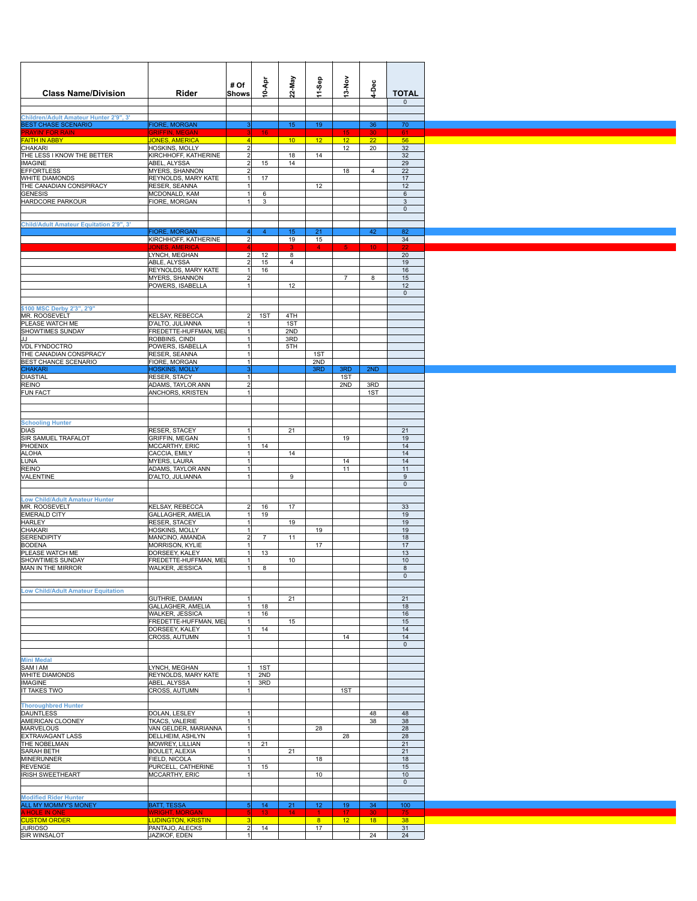| <b>Class Name/Division</b>                                           | Rider                                          | # Of<br>Shows              | igA-01                | 22-May                | 11-Sep          | $13-Nov$              | 4-Dec           | <b>TOTAL</b>        |
|----------------------------------------------------------------------|------------------------------------------------|----------------------------|-----------------------|-----------------------|-----------------|-----------------------|-----------------|---------------------|
|                                                                      |                                                |                            |                       |                       |                 |                       |                 | $\mathbf 0$         |
| Children/Adult Amateur Hunter 2'9", 3'<br><b>BEST CHASE SCENARIO</b> | <b>FIORE, MORGAN</b>                           | 3                          |                       | 15 <sub>15</sub>      | 19              |                       | 36              | 70                  |
| <mark>PRAYIN' FOR R</mark><br>FAITH IN ABBY<br>'RAYIN' FOR RAIN      | <b>SRIFFIN, MEGAI</b><br><b>JONES, AMERICA</b> | $\left 4\right $           | 16 <sub>1</sub>       | $10-1$                | 12 <sub>2</sub> | 15<br>12 <sub>2</sub> | 22              | 61<br>56            |
| CHAKARI<br>THE LESS I KNOW THE BETTER                                | HOSKINS, MOLLY<br>KIRCHHOFF, KATHERINE         | 2 <br>$2\vert$             |                       | 18                    | 14              | 12                    | 20              | 32<br>32            |
| <b>IMAGINE</b>                                                       | ABEL, ALYSSA                                   | $\overline{2}$             | 15                    | 14                    |                 |                       |                 | 29                  |
| <b>EFFORTLESS</b><br>WHITE DIAMONDS                                  | MYERS, SHANNON<br>REYNOLDS, MARY KATE          | $\overline{2}$<br>1        | 17                    |                       |                 | 18                    | $\overline{4}$  | 22<br>17            |
| THE CANADIAN CONSPIRACY                                              | RESER, SEANNA                                  | 1                          |                       |                       | 12              |                       |                 | 12                  |
| <b>GENESIS</b><br><b>HARDCORE PARKOUR</b>                            | MCDONALD, KAM<br>FIORE, MORGAN                 | 1<br>$\overline{1}$        | 6<br>3                |                       |                 |                       |                 | 6<br>3              |
|                                                                      |                                                |                            |                       |                       |                 |                       |                 | $\mathbf 0$         |
| Child/Adult Amateur Equitation 2'9", 3'                              |                                                |                            |                       |                       |                 |                       |                 |                     |
|                                                                      | <b>FIORE, MORGAN</b><br>KIRCHHOFF, KATHERINE   | 4 <br>2                    | $\overline{4}$        | 15<br>19              | 21<br>15        |                       | 42              | 82<br>34            |
|                                                                      | IONES AM<br>LYNCH, MEGHAN                      | $2\vert$                   | 12                    | З<br>8                | $4 -$           | -5.                   | 10 <sub>1</sub> | 20                  |
|                                                                      | ABLE, ALYSSA                                   | $\overline{2}$             | 15                    | $\overline{4}$        |                 |                       |                 | 19                  |
|                                                                      | REYNOLDS, MARY KATE<br><b>MYERS, SHANNON</b>   | 1<br>2                     | 16                    |                       |                 | $\overline{7}$        | 8               | 16<br>15            |
|                                                                      | POWERS, ISABELLA                               | 1                          |                       | 12                    |                 |                       |                 | 12                  |
|                                                                      |                                                |                            |                       |                       |                 |                       |                 | $\mathsf{O}\xspace$ |
| \$100 MSC Derby 2'3", 2'9"<br>MR. ROOSEVELT                          | <b>KELSAY, REBECCA</b>                         | 2                          | 1ST                   | 4TH                   |                 |                       |                 |                     |
| PLEASE WATCH ME                                                      | D'ALTO, JULIANNA                               | $\mathbf{1}$               |                       | 1ST                   |                 |                       |                 |                     |
| <b>SHOWTIMES SUNDAY</b><br>JJ                                        | FREDETTE-HUFFMAN, MEL<br>ROBBINS, CINDI        | 1<br>1                     |                       | 2ND<br>3RD            |                 |                       |                 |                     |
| VDL FYNDOCTRO                                                        | POWERS, ISABELLA                               | 1                          |                       | 5TH                   |                 |                       |                 |                     |
| THE CANADIAN CONSPRACY<br><b>BEST CHANCE SCENARIO</b>                | RESER, SEANNA<br>FIORE, MORGAN                 | 1<br>1                     |                       |                       | 1ST<br>2ND      |                       |                 |                     |
| <b>CHAKARI</b>                                                       | <b>HOSKINS, MOLLY</b>                          | 3                          |                       |                       | 3RD             | 3RD                   | 2ND             |                     |
| DIASTIAL<br>REINO                                                    | RESER, STACY<br>ADAMS, TAYLOR ANN              | 1<br>$\overline{2}$        |                       |                       |                 | 1ST<br>2ND            | 3RD             |                     |
| <b>FUN FACT</b>                                                      | ANCHORS, KRISTEN                               | 1                          |                       |                       |                 |                       | 1ST             |                     |
|                                                                      |                                                |                            |                       |                       |                 |                       |                 |                     |
|                                                                      |                                                |                            |                       |                       |                 |                       |                 |                     |
| <b>Schooling Hunter</b><br><b>DIAS</b>                               | RESER, STACEY                                  | 1                          |                       | 21                    |                 |                       |                 | 21                  |
| SIR SAMUEL TRAFALOT                                                  | <b>GRIFFIN, MEGAN</b>                          | 1                          |                       |                       |                 | 19                    |                 | 19                  |
| PHOENIX<br><b>ALOHA</b>                                              | MCCARTHY, ERIC<br>CACCIA, EMILY                | 1<br>$\overline{1}$        | 14                    | 14                    |                 |                       |                 | 14<br>14            |
| LUNA                                                                 | MYERS, LAURA                                   | 1                          |                       |                       |                 | 14                    |                 | 14                  |
| <b>REINO</b><br>VALENTINE                                            | ADAMS, TAYLOR ANN<br>D'ALTO, JULIANNA          | 1<br>1                     |                       | 9                     |                 | 11                    |                 | 11<br>$9\,$         |
|                                                                      |                                                |                            |                       |                       |                 |                       |                 | $\mathsf{O}\xspace$ |
| <b>Low Child/Adult Amateur Hunter</b>                                |                                                |                            |                       |                       |                 |                       |                 |                     |
| MR. ROOSEVELT<br><b>EMERALD CITY</b>                                 | KELSAY, REBECCA<br>GALLAGHER, AMELIA           | 2 <sup>1</sup><br>1        | 16<br>19              | 17                    |                 |                       |                 | 33<br>19            |
| <b>HARLEY</b>                                                        | RESER, STACEY                                  | 1                          |                       | 19                    |                 |                       |                 | 19                  |
| CHAKARI<br><b>SERENDIPITY</b>                                        | HOSKINS, MOLLY<br>MANCINO, AMANDA              | 1<br>2                     | 7                     | 11                    | 19              |                       |                 | 19<br>18            |
| <b>BODENA</b>                                                        | MORRISON, KYLIE                                | 1                          |                       |                       | 17              |                       |                 | 17                  |
| PLEASE WATCH ME<br><b>SHOWTIMES SUNDAY</b>                           | DORSEEY, KALEY<br>FREDETTE-HUFFMAN, MEI        | 1<br>1                     | 13                    | 10 <sub>1</sub>       |                 |                       |                 | 13<br>10            |
| MAN IN THE MIRROR                                                    | WALKER, JESSICA                                | 1                          | 8                     |                       |                 |                       |                 | 8                   |
|                                                                      |                                                |                            |                       |                       |                 |                       |                 | $\mathsf{O}\xspace$ |
| <b>Low Child/Adult Amateur Equitation</b>                            |                                                |                            |                       |                       |                 |                       |                 |                     |
|                                                                      | GUTHRIE, DAMIAN<br>GALLAGHER, AMELIA           | 1<br>1                     | 18                    | 21                    |                 |                       |                 | 21<br>18            |
|                                                                      | WALKER, JESSICA                                | 1                          | 16                    |                       |                 |                       |                 | 16                  |
|                                                                      | FREDETTE-HUFFMAN, MEI<br>DORSEEY, KALEY        | 1<br>1                     | 14                    | 15                    |                 |                       |                 | 15<br>14            |
|                                                                      | CROSS, AUTUMN                                  | 1                          |                       |                       |                 | 14                    |                 | 14                  |
|                                                                      |                                                |                            |                       |                       |                 |                       |                 | $\mathsf{O}\xspace$ |
| <b>Mini Medal</b>                                                    |                                                |                            |                       |                       |                 |                       |                 |                     |
| SAM I AM<br>WHITE DIAMONDS                                           | LYNCH, MEGHAN<br>REYNOLDS, MARY KATE           | 1<br>1                     | 1ST<br>2ND            |                       |                 |                       |                 |                     |
| <b>IMAGINE</b>                                                       | ABEL, ALYSSA                                   | 1                          | 3RD                   |                       |                 |                       |                 |                     |
| IT TAKES TWO                                                         | CROSS, AUTUMN                                  | 1                          |                       |                       |                 | 1ST                   |                 |                     |
| <b>Thoroughbred Hunter</b>                                           |                                                |                            |                       |                       |                 |                       |                 |                     |
| <b>DAUNTLESS</b><br>AMERICAN CLOONEY                                 | DOLAN, LESLEY<br>TKACS, VALERIE                | 1<br>1                     |                       |                       |                 |                       | 48<br>38        | 48<br>38            |
| <b>MARVELOUS</b>                                                     | VAN GELDER, MARIANNA                           | 1                          |                       |                       | 28              |                       |                 | 28                  |
| EXTRAVAGANT LASS<br>THE NOBELMAN                                     | DELLHEIM, ASHLYN<br>MOWREY, LILLIAN            | 1<br>1                     | 21                    |                       |                 | 28                    |                 | 28<br>21            |
| SARAH BETH                                                           | <b>BOULET, ALEXIA</b>                          | 1                          |                       | 21                    |                 |                       |                 | 21                  |
| MINERUNNER<br><b>REVENGE</b>                                         | FIELD, NICOLA<br>PURCELL, CATHERINE            | 1<br>1                     | 15                    |                       | 18              |                       |                 | 18<br>15            |
| <b>IRISH SWEETHEART</b>                                              | MCCARTHY, ERIC                                 | 1                          |                       |                       | 10              |                       |                 | 10                  |
|                                                                      |                                                |                            |                       |                       |                 |                       |                 | $\mathbf 0$         |
| <b>Modified Rider Hunter</b>                                         |                                                |                            |                       |                       |                 |                       |                 |                     |
| ALL MY MOMMY'S MONEY                                                 | <b>BATT, TESSA</b><br><b>WRIGHT, MORGAN</b>    | 5 <sup>1</sup>             | 14<br>13 <sub>1</sub> | 21<br>14 <sub>1</sub> | 12 <sub>2</sub> | 19<br>17              | 34<br>30        | 100<br>75           |
| A HOLE IN ONE<br>CUSTOM ORDER                                        | <b>LUDINGTON, KRISTIN</b>                      | 3                          |                       |                       | 8 <sup>2</sup>  | 12 <sub>2</sub>       | 18              | 38                  |
| <b>JURIOSO</b><br>SIR WINSALOT                                       | PANTAJO, ALECKS<br>JAZIKOF, EDEN               | $2\vert$<br>$\overline{1}$ | 14                    |                       | 17              |                       | 24              | 31<br>24            |